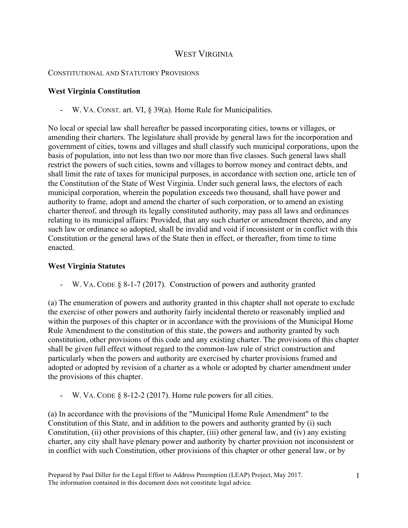# WEST VIRGINIA

#### CONSTITUTIONAL AND STATUTORY PROVISIONS

### **West Virginia Constitution**

- W. VA. CONST. art. VI, § 39(a). Home Rule for Municipalities.

No local or special law shall hereafter be passed incorporating cities, towns or villages, or amending their charters. The legislature shall provide by general laws for the incorporation and government of cities, towns and villages and shall classify such municipal corporations, upon the basis of population, into not less than two nor more than five classes. Such general laws shall restrict the powers of such cities, towns and villages to borrow money and contract debts, and shall limit the rate of taxes for municipal purposes, in accordance with section one, article ten of the Constitution of the State of West Virginia. Under such general laws, the electors of each municipal corporation, wherein the population exceeds two thousand, shall have power and authority to frame, adopt and amend the charter of such corporation, or to amend an existing charter thereof, and through its legally constituted authority, may pass all laws and ordinances relating to its municipal affairs: Provided, that any such charter or amendment thereto, and any such law or ordinance so adopted, shall be invalid and void if inconsistent or in conflict with this Constitution or the general laws of the State then in effect, or thereafter, from time to time enacted.

### **West Virginia Statutes**

W. VA. CODE  $\S$  8-1-7 (2017). Construction of powers and authority granted

(a) The enumeration of powers and authority granted in this chapter shall not operate to exclude the exercise of other powers and authority fairly incidental thereto or reasonably implied and within the purposes of this chapter or in accordance with the provisions of the Municipal Home Rule Amendment to the constitution of this state, the powers and authority granted by such constitution, other provisions of this code and any existing charter. The provisions of this chapter shall be given full effect without regard to the common-law rule of strict construction and particularly when the powers and authority are exercised by charter provisions framed and adopted or adopted by revision of a charter as a whole or adopted by charter amendment under the provisions of this chapter.

W. VA. CODE  $\S$  8-12-2 (2017). Home rule powers for all cities.

(a) In accordance with the provisions of the "Municipal Home Rule Amendment" to the Constitution of this State, and in addition to the powers and authority granted by (i) such Constitution, (ii) other provisions of this chapter, (iii) other general law, and (iv) any existing charter, any city shall have plenary power and authority by charter provision not inconsistent or in conflict with such Constitution, other provisions of this chapter or other general law, or by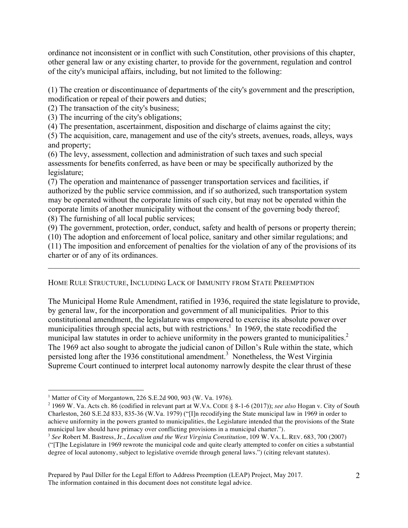ordinance not inconsistent or in conflict with such Constitution, other provisions of this chapter, other general law or any existing charter, to provide for the government, regulation and control of the city's municipal affairs, including, but not limited to the following:

(1) The creation or discontinuance of departments of the city's government and the prescription, modification or repeal of their powers and duties;

(2) The transaction of the city's business;

(3) The incurring of the city's obligations;

(4) The presentation, ascertainment, disposition and discharge of claims against the city;

(5) The acquisition, care, management and use of the city's streets, avenues, roads, alleys, ways and property;

(6) The levy, assessment, collection and administration of such taxes and such special assessments for benefits conferred, as have been or may be specifically authorized by the legislature;

(7) The operation and maintenance of passenger transportation services and facilities, if authorized by the public service commission, and if so authorized, such transportation system may be operated without the corporate limits of such city, but may not be operated within the corporate limits of another municipality without the consent of the governing body thereof; (8) The furnishing of all local public services;

(9) The government, protection, order, conduct, safety and health of persons or property therein;

(10) The adoption and enforcement of local police, sanitary and other similar regulations; and

(11) The imposition and enforcement of penalties for the violation of any of the provisions of its charter or of any of its ordinances.  $\mathcal{L}_\mathcal{L} = \{ \mathcal{L}_\mathcal{L} = \{ \mathcal{L}_\mathcal{L} = \{ \mathcal{L}_\mathcal{L} = \{ \mathcal{L}_\mathcal{L} = \{ \mathcal{L}_\mathcal{L} = \{ \mathcal{L}_\mathcal{L} = \{ \mathcal{L}_\mathcal{L} = \{ \mathcal{L}_\mathcal{L} = \{ \mathcal{L}_\mathcal{L} = \{ \mathcal{L}_\mathcal{L} = \{ \mathcal{L}_\mathcal{L} = \{ \mathcal{L}_\mathcal{L} = \{ \mathcal{L}_\mathcal{L} = \{ \mathcal{L}_\mathcal{$ 

## HOME RULE STRUCTURE, INCLUDING LACK OF IMMUNITY FROM STATE PREEMPTION

The Municipal Home Rule Amendment, ratified in 1936, required the state legislature to provide, by general law, for the incorporation and government of all municipalities. Prior to this constitutional amendment, the legislature was empowered to exercise its absolute power over municipalities through special acts, but with restrictions.<sup>1</sup> In 1969, the state recodified the municipal law statutes in order to achieve uniformity in the powers granted to municipalities.<sup>2</sup> The 1969 act also sought to abrogate the judicial canon of Dillon's Rule within the state, which persisted long after the 1936 constitutional amendment.<sup>3</sup> Nonetheless, the West Virginia Supreme Court continued to interpret local autonomy narrowly despite the clear thrust of these

<sup>&</sup>lt;sup>1</sup> Matter of City of Morgantown, 226 S.E.2d 900, 903 (W. Va. 1976).

<sup>2</sup> 1969 W. Va. Acts ch. 86 (codified in relevant part at W.VA. CODE § 8-1-6 (2017)); *see also* Hogan v. City of South Charleston, 260 S.E.2d 833, 835-36 (W.Va. 1979) ("[I]n recodifying the State municipal law in 1969 in order to achieve uniformity in the powers granted to municipalities, the Legislature intended that the provisions of the State municipal law should have primacy over conflicting provisions in a municipal charter.").

<sup>3</sup> *See* Robert M. Bastress, Jr., *Localism and the West Virginia Constitution*, 109 W. VA. L. REV. 683, 700 (2007) ("[T]he Legislature in 1969 rewrote the municipal code and quite clearly attempted to confer on cities a substantial degree of local autonomy, subject to legislative override through general laws.") (citing relevant statutes).